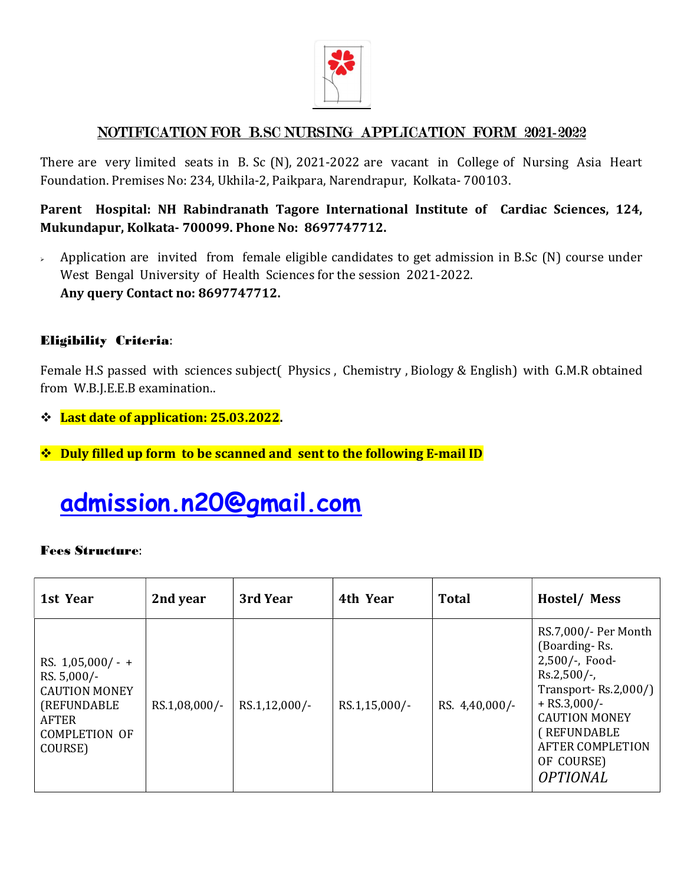

### NOTIFICATION FOR B.SC NURSING APPLICATION FORM 2021-2022

There are very limited seats in B. Sc (N), 2021-2022 are vacant in College of Nursing Asia Heart Foundation. Premises No: 234, Ukhila-2, Paikpara, Narendrapur, Kolkata- 700103.

Parent Hospital: NH Rabindranath Tagore International Institute of Cardiac Sciences, 124, Mukundapur, Kolkata- 700099. Phone No: 8697747712.

 $\rightarrow$  Application are invited from female eligible candidates to get admission in B.Sc (N) course under West Bengal University of Health Sciences for the session 2021-2022. Any query Contact no: 8697747712.

### Eligibility Criteria:

Female H.S passed with sciences subject( Physics , Chemistry , Biology & English) with G.M.R obtained from W.B.J.E.E.B examination..

- Last date of application: 25.03.2022.
- **↑ Duly filled up form to be scanned and sent to the following E-mail ID**

# admission.n20@gmail.com

#### Fees Structure:

| 1st Year                                                                                                                        | 2nd year      | 3rd Year      | 4th Year        | <b>Total</b>   | Hostel/Mess                                                                                                                                                                                                               |
|---------------------------------------------------------------------------------------------------------------------------------|---------------|---------------|-----------------|----------------|---------------------------------------------------------------------------------------------------------------------------------------------------------------------------------------------------------------------------|
| RS. $1,05,000/ - +$<br>RS. $5,000/-$<br><b>CAUTION MONEY</b><br><b>(REFUNDABLE)</b><br>AFTER<br><b>COMPLETION OF</b><br>COURSE) | RS.1,08,000/- | RS.1,12,000/- | $RS.1,15,000/-$ | RS. 4,40,000/- | RS.7,000/- Per Month<br>(Boarding-Rs.<br>2,500/-, Food-<br>$Rs.2,500/-$ ,<br>Transport-Rs.2,000/ $)$<br>$+$ RS.3,000/-<br><b>CAUTION MONEY</b><br>(REFUNDABLE<br><b>AFTER COMPLETION</b><br>OF COURSE)<br><b>OPTIONAL</b> |